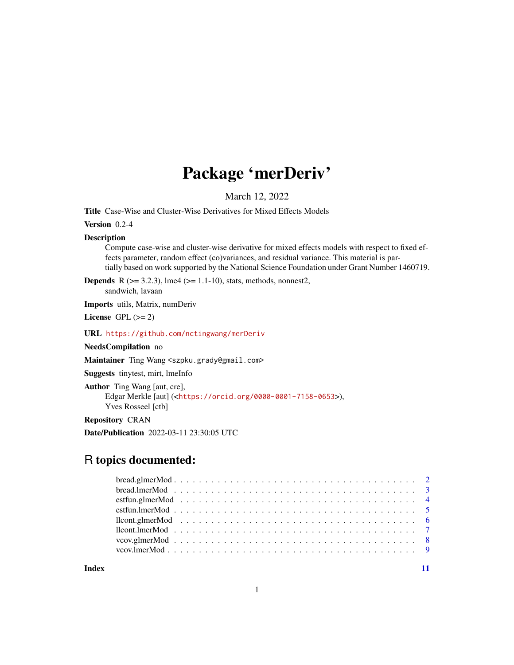# Package 'merDeriv'

March 12, 2022

<span id="page-0-0"></span>Title Case-Wise and Cluster-Wise Derivatives for Mixed Effects Models

Version 0.2-4

#### Description

Compute case-wise and cluster-wise derivative for mixed effects models with respect to fixed effects parameter, random effect (co)variances, and residual variance. This material is partially based on work supported by the National Science Foundation under Grant Number 1460719.

**Depends** R ( $>= 3.2.3$ ), lme4 ( $>= 1.1-10$ ), stats, methods, nonnest2, sandwich, lavaan

Imports utils, Matrix, numDeriv

License GPL  $(>= 2)$ 

URL <https://github.com/nctingwang/merDeriv>

#### NeedsCompilation no

Maintainer Ting Wang <szpku.grady@gmail.com>

Suggests tinytest, mirt, lmeInfo

```
Author Ting Wang [aut, cre],
     Edgar Merkle [aut] (<https://orcid.org/0000-0001-7158-0653>),
     Yves Rosseel [ctb]
```
Repository CRAN

Date/Publication 2022-03-11 23:30:05 UTC

## R topics documented:

**Index** [11](#page-10-0)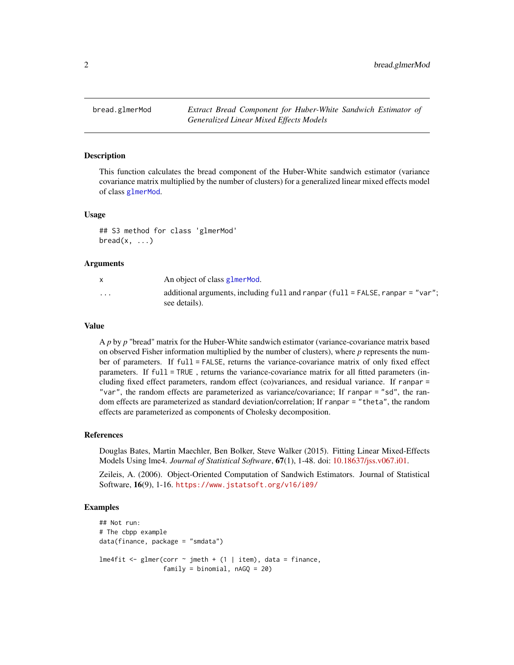<span id="page-1-0"></span>

#### Description

This function calculates the bread component of the Huber-White sandwich estimator (variance covariance matrix multiplied by the number of clusters) for a generalized linear mixed effects model of class [glmerMod](#page-0-0).

#### Usage

## S3 method for class 'glmerMod'  $break(x, \ldots)$ 

#### Arguments

|                         | An object of class glmer Mod.                                                                       |
|-------------------------|-----------------------------------------------------------------------------------------------------|
| $\cdot$ $\cdot$ $\cdot$ | additional arguments, including full and ranpar (full $=$ FALSE, ranpar $=$ "var";<br>see details). |

#### Value

A *p* by *p* "bread" matrix for the Huber-White sandwich estimator (variance-covariance matrix based on observed Fisher information multiplied by the number of clusters), where *p* represents the number of parameters. If full = FALSE, returns the variance-covariance matrix of only fixed effect parameters. If full = TRUE , returns the variance-covariance matrix for all fitted parameters (including fixed effect parameters, random effect (co)variances, and residual variance. If ranpar = "var", the random effects are parameterized as variance/covariance; If ranpar = "sd", the random effects are parameterized as standard deviation/correlation; If ranpar = "theta", the random effects are parameterized as components of Cholesky decomposition.

#### References

Douglas Bates, Martin Maechler, Ben Bolker, Steve Walker (2015). Fitting Linear Mixed-Effects Models Using lme4. *Journal of Statistical Software*, 67(1), 1-48. doi: [10.18637/jss.v067.i01.](https://doi.org/10.18637/jss.v067.i01)

Zeileis, A. (2006). Object-Oriented Computation of Sandwich Estimators. Journal of Statistical Software, 16(9), 1-16. <https://www.jstatsoft.org/v16/i09/>

#### Examples

```
## Not run:
# The cbpp example
data(finance, package = "smdata")
lme4fit <- glmer(corr ~ jmeth + (1 | item), data = finance,
                 family = binomial, nAGQ = 20)
```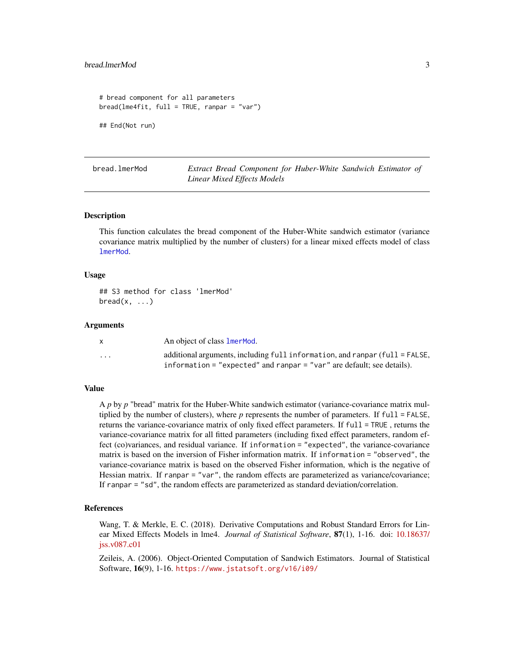```
# bread component for all parameters
bread(lme4fit, full = TRUE, ranpar = "var")
## End(Not run)
```
bread.lmerMod *Extract Bread Component for Huber-White Sandwich Estimator of Linear Mixed Effects Models*

#### Description

This function calculates the bread component of the Huber-White sandwich estimator (variance covariance matrix multiplied by the number of clusters) for a linear mixed effects model of class [lmerMod](#page-0-0).

#### Usage

## S3 method for class 'lmerMod'  $break(x, \ldots)$ 

#### Arguments

|          | An object of class <b>lmerMod.</b>                                             |
|----------|--------------------------------------------------------------------------------|
| $\cdots$ | additional arguments, including full information, and ranpar $(full = FALSE$ , |
|          | information = "expected" and ranpar = " $var$ " are default; see details).     |

#### Value

A *p* by *p* "bread" matrix for the Huber-White sandwich estimator (variance-covariance matrix multiplied by the number of clusters), where *p* represents the number of parameters. If full = FALSE, returns the variance-covariance matrix of only fixed effect parameters. If full = TRUE , returns the variance-covariance matrix for all fitted parameters (including fixed effect parameters, random effect (co)variances, and residual variance. If information = "expected", the variance-covariance matrix is based on the inversion of Fisher information matrix. If information = "observed", the variance-covariance matrix is based on the observed Fisher information, which is the negative of Hessian matrix. If ranpar = "var", the random effects are parameterized as variance/covariance; If ranpar = "sd", the random effects are parameterized as standard deviation/correlation.

#### References

Wang, T. & Merkle, E. C. (2018). Derivative Computations and Robust Standard Errors for Linear Mixed Effects Models in lme4. *Journal of Statistical Software*, 87(1), 1-16. doi: [10.18637/](https://doi.org/10.18637/jss.v087.c01) [jss.v087.c01](https://doi.org/10.18637/jss.v087.c01)

Zeileis, A. (2006). Object-Oriented Computation of Sandwich Estimators. Journal of Statistical Software, 16(9), 1-16. <https://www.jstatsoft.org/v16/i09/>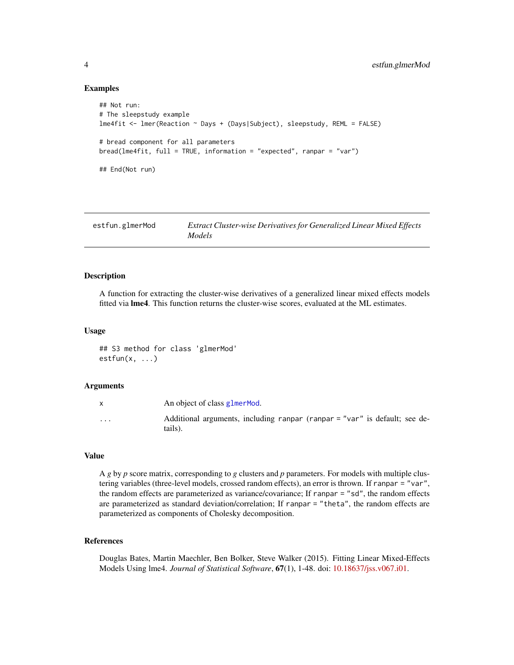```
## Not run:
# The sleepstudy example
lme4fit <- lmer(Reaction ~ Days + (Days|Subject), sleepstudy, REML = FALSE)
# bread component for all parameters
bread(lme4fit, full = TRUE, information = "expected", ranpar = "var")
## End(Not run)
```

| estfun.glmerMod | <b>Extract Cluster-wise Derivatives for Generalized Linear Mixed Effects</b> |
|-----------------|------------------------------------------------------------------------------|
|                 | Models                                                                       |

#### Description

A function for extracting the cluster-wise derivatives of a generalized linear mixed effects models fitted via lme4. This function returns the cluster-wise scores, evaluated at the ML estimates.

#### Usage

## S3 method for class 'glmerMod' estfun(x, ...)

#### Arguments

|                      | An object of class glmer Mod.                                                         |
|----------------------|---------------------------------------------------------------------------------------|
| $\ddot{\phantom{0}}$ | Additional arguments, including ranpar (ranpar = "var" is default; see de-<br>tails). |

#### Value

A *g* by *p* score matrix, corresponding to *g* clusters and *p* parameters. For models with multiple clustering variables (three-level models, crossed random effects), an error is thrown. If ranpar = "var", the random effects are parameterized as variance/covariance; If ranpar = "sd", the random effects are parameterized as standard deviation/correlation; If ranpar = "theta", the random effects are parameterized as components of Cholesky decomposition.

#### References

Douglas Bates, Martin Maechler, Ben Bolker, Steve Walker (2015). Fitting Linear Mixed-Effects Models Using lme4. *Journal of Statistical Software*, 67(1), 1-48. doi: [10.18637/jss.v067.i01.](https://doi.org/10.18637/jss.v067.i01)

<span id="page-3-0"></span>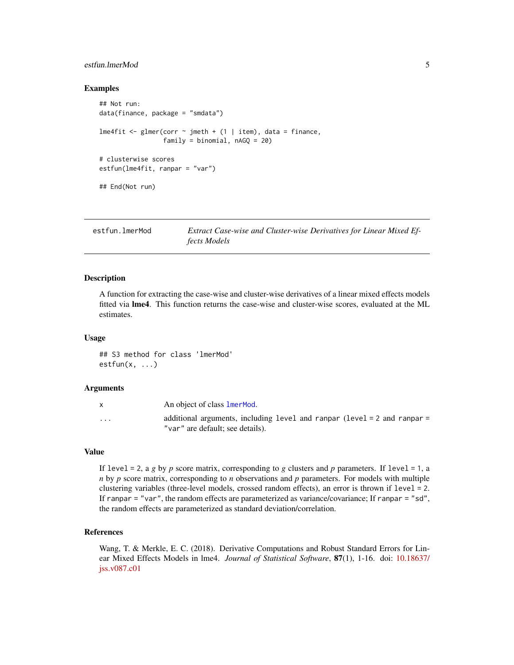#### <span id="page-4-0"></span>estfun.lmerMod 5

#### Examples

```
## Not run:
data(finance, package = "smdata")
lme4fit <- glmer(corr \sim jmeth + (1 | item), data = finance,
                 family = binomial, nAGQ = 20)# clusterwise scores
estfun(lme4fit, ranpar = "var")
## End(Not run)
```

| estfun.lmerMod | Extract Case-wise and Cluster-wise Derivatives for Linear Mixed Ef- |
|----------------|---------------------------------------------------------------------|
|                | <i>fects Models</i>                                                 |

#### Description

A function for extracting the case-wise and cluster-wise derivatives of a linear mixed effects models fitted via lme4. This function returns the case-wise and cluster-wise scores, evaluated at the ML estimates.

#### Usage

## S3 method for class 'lmerMod'  $estfun(x, \ldots)$ 

#### Arguments

|          | An object of class <b>lmerMod.</b>                                                                               |
|----------|------------------------------------------------------------------------------------------------------------------|
| $\cdots$ | additional arguments, including level and ranpar $(level = 2$ and ranpar $=$<br>"var" are default; see details). |

#### Value

If level  $= 2$ , a *g* by *p* score matrix, corresponding to *g* clusters and *p* parameters. If level  $= 1$ , a *n* by *p* score matrix, corresponding to *n* observations and *p* parameters. For models with multiple clustering variables (three-level models, crossed random effects), an error is thrown if level = 2. If ranpar = "var", the random effects are parameterized as variance/covariance; If ranpar = "sd", the random effects are parameterized as standard deviation/correlation.

#### References

Wang, T. & Merkle, E. C. (2018). Derivative Computations and Robust Standard Errors for Linear Mixed Effects Models in lme4. *Journal of Statistical Software*, 87(1), 1-16. doi: [10.18637/](https://doi.org/10.18637/jss.v087.c01) [jss.v087.c01](https://doi.org/10.18637/jss.v087.c01)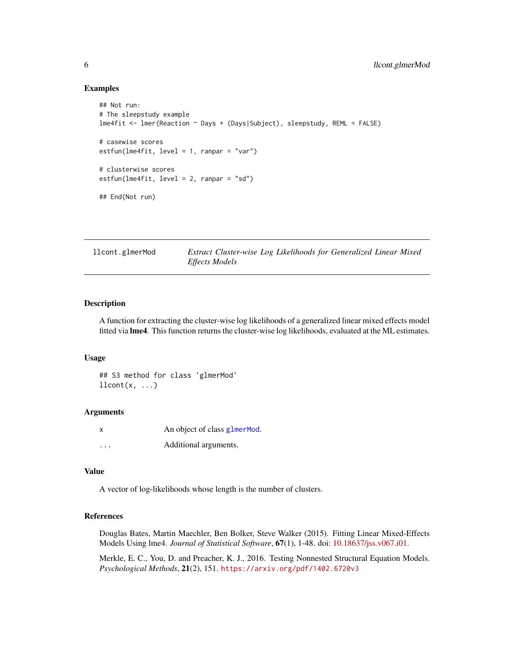```
## Not run:
# The sleepstudy example
lme4fit <- lmer(Reaction ~ Days + (Days|Subject), sleepstudy, REML = FALSE)
# casewise scores
estfun(lme4fit, level = 1, ranpar = "var")
# clusterwise scores
estfun(lme4fit, level = 2, ranpar = "sd")
## End(Not run)
```
llcont.glmerMod *Extract Cluster-wise Log Likelihoods for Generalized Linear Mixed Effects Models*

#### Description

A function for extracting the cluster-wise log likelihoods of a generalized linear mixed effects model fitted via lme4. This function returns the cluster-wise log likelihoods, evaluated at the ML estimates.

#### Usage

## S3 method for class 'glmerMod'  $llcont(x, \ldots)$ 

#### Arguments

| X        | An object of class glmerMod. |
|----------|------------------------------|
| $\cdots$ | Additional arguments.        |

#### Value

A vector of log-likelihoods whose length is the number of clusters.

#### References

Douglas Bates, Martin Maechler, Ben Bolker, Steve Walker (2015). Fitting Linear Mixed-Effects Models Using lme4. *Journal of Statistical Software*, 67(1), 1-48. doi: [10.18637/jss.v067.i01.](https://doi.org/10.18637/jss.v067.i01)

Merkle, E. C., You, D. and Preacher, K. J., 2016. Testing Nonnested Structural Equation Models. *Psychological Methods*, 21(2), 151. <https://arxiv.org/pdf/1402.6720v3>

<span id="page-5-0"></span>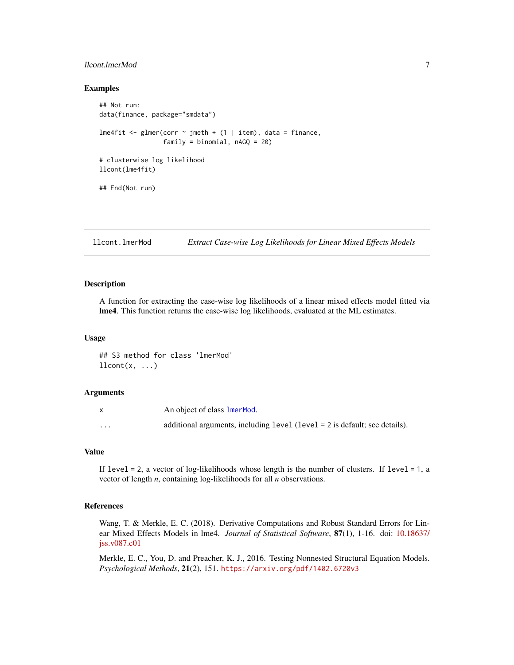#### <span id="page-6-0"></span>llcont.lmerMod 7

#### Examples

```
## Not run:
data(finance, package="smdata")
lme4fit <- glmer(corr \sim jmeth + (1 | item), data = finance,
                 family = binomial, nAGQ = 20)# clusterwise log likelihood
llcont(lme4fit)
## End(Not run)
```
llcont.lmerMod *Extract Case-wise Log Likelihoods for Linear Mixed Effects Models*

#### Description

A function for extracting the case-wise log likelihoods of a linear mixed effects model fitted via lme4. This function returns the case-wise log likelihoods, evaluated at the ML estimates.

#### Usage

## S3 method for class 'lmerMod'  $llcont(x, \ldots)$ 

#### Arguments

|                         | An object of class 1 mer Mod.                                              |
|-------------------------|----------------------------------------------------------------------------|
| $\cdot$ $\cdot$ $\cdot$ | additional arguments, including level (level = 2 is default; see details). |

#### Value

If level = 2, a vector of log-likelihoods whose length is the number of clusters. If level = 1, a vector of length *n*, containing log-likelihoods for all *n* observations.

#### References

Wang, T. & Merkle, E. C. (2018). Derivative Computations and Robust Standard Errors for Linear Mixed Effects Models in lme4. *Journal of Statistical Software*, 87(1), 1-16. doi: [10.18637/](https://doi.org/10.18637/jss.v087.c01) [jss.v087.c01](https://doi.org/10.18637/jss.v087.c01)

Merkle, E. C., You, D. and Preacher, K. J., 2016. Testing Nonnested Structural Equation Models. *Psychological Methods*, 21(2), 151. <https://arxiv.org/pdf/1402.6720v3>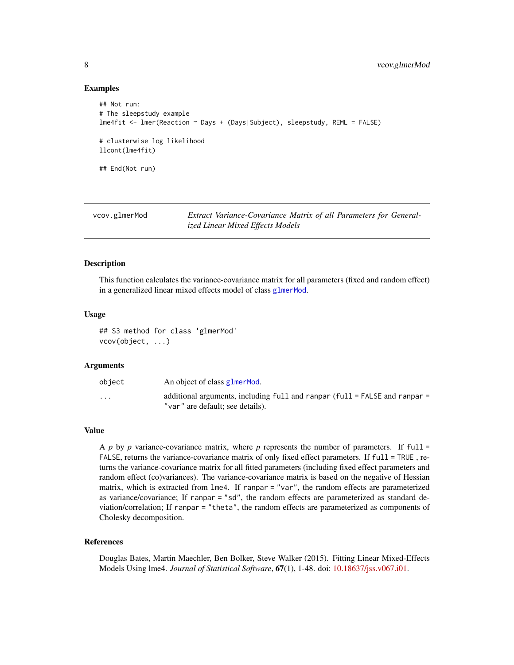```
## Not run:
# The sleepstudy example
lme4fit <- lmer(Reaction ~ Days + (Days|Subject), sleepstudy, REML = FALSE)
# clusterwise log likelihood
llcont(lme4fit)
## End(Not run)
```

| vcov.glmerMod | Extract Variance-Covariance Matrix of all Parameters for General- |
|---------------|-------------------------------------------------------------------|
|               | ized Linear Mixed Effects Models                                  |

#### Description

This function calculates the variance-covariance matrix for all parameters (fixed and random effect) in a generalized linear mixed effects model of class [glmerMod](#page-0-0).

#### Usage

## S3 method for class 'glmerMod' vcov(object, ...)

#### Arguments

| object   | An object of class glmer Mod.                                                                                    |
|----------|------------------------------------------------------------------------------------------------------------------|
| $\cdots$ | additional arguments, including full and ranpar $(full = FALEE$ and ranpar =<br>"var" are default; see details). |

#### Value

A  $p$  by  $p$  variance-covariance matrix, where  $p$  represents the number of parameters. If full = FALSE, returns the variance-covariance matrix of only fixed effect parameters. If full = TRUE, returns the variance-covariance matrix for all fitted parameters (including fixed effect parameters and random effect (co)variances). The variance-covariance matrix is based on the negative of Hessian matrix, which is extracted from lme4. If ranpar = "var", the random effects are parameterized as variance/covariance; If ranpar = "sd", the random effects are parameterized as standard deviation/correlation; If ranpar = "theta", the random effects are parameterized as components of Cholesky decomposition.

#### References

Douglas Bates, Martin Maechler, Ben Bolker, Steve Walker (2015). Fitting Linear Mixed-Effects Models Using lme4. *Journal of Statistical Software*, 67(1), 1-48. doi: [10.18637/jss.v067.i01.](https://doi.org/10.18637/jss.v067.i01)

<span id="page-7-0"></span>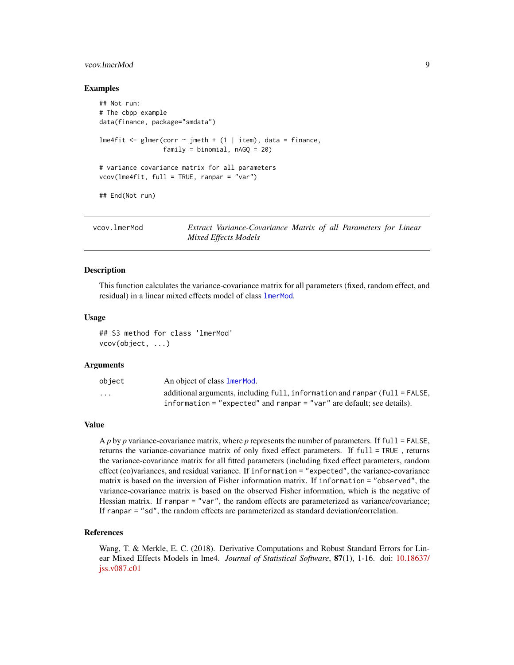#### <span id="page-8-0"></span>vcov.lmerMod 9

#### Examples

```
## Not run:
# The cbpp example
data(finance, package="smdata")
lme4fit \leq glmer(corr \sim jmeth + (1 | item), data = finance,
                 family = binomial, nAGQ = 20)# variance covariance matrix for all parameters
vcov(Ime4fit, full = TRUE, ranpar = "var")## End(Not run)
```

| vcov.lmerMod | Extract Variance-Covariance Matrix of all Parameters for Linear |  |  |
|--------------|-----------------------------------------------------------------|--|--|
|              | Mixed Effects Models                                            |  |  |

#### Description

This function calculates the variance-covariance matrix for all parameters (fixed, random effect, and residual) in a linear mixed effects model of class [lmerMod](#page-0-0).

#### Usage

## S3 method for class 'lmerMod' vcov(object, ...)

#### Arguments

| object                  | An object of class 1 mer Mod.                                                     |
|-------------------------|-----------------------------------------------------------------------------------|
| $\cdot$ $\cdot$ $\cdot$ | additional arguments, including $full$ , information and ranpar $(full = FALSE$ , |
|                         | information = "expected" and ranpar = " $var$ " are default: see details).        |

#### Value

A *p* by *p* variance-covariance matrix, where *p* represents the number of parameters. If full = FALSE, returns the variance-covariance matrix of only fixed effect parameters. If full = TRUE , returns the variance-covariance matrix for all fitted parameters (including fixed effect parameters, random effect (co)variances, and residual variance. If information = "expected", the variance-covariance matrix is based on the inversion of Fisher information matrix. If information = "observed", the variance-covariance matrix is based on the observed Fisher information, which is the negative of Hessian matrix. If ranpar = "var", the random effects are parameterized as variance/covariance; If ranpar = "sd", the random effects are parameterized as standard deviation/correlation.

#### References

Wang, T. & Merkle, E. C. (2018). Derivative Computations and Robust Standard Errors for Linear Mixed Effects Models in lme4. *Journal of Statistical Software*, 87(1), 1-16. doi: [10.18637/](https://doi.org/10.18637/jss.v087.c01) [jss.v087.c01](https://doi.org/10.18637/jss.v087.c01)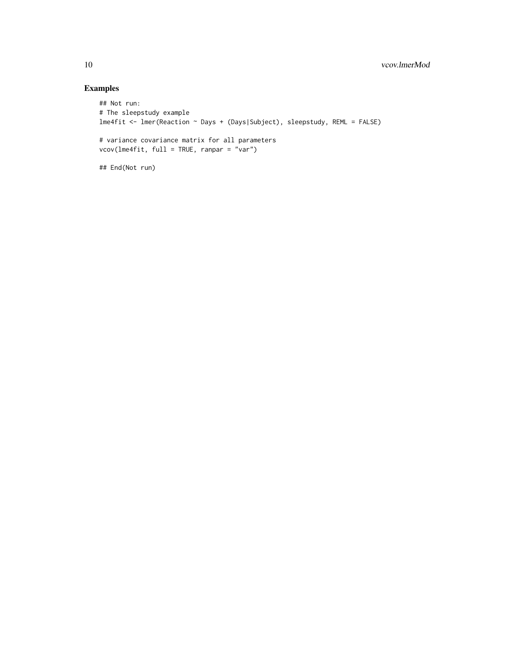```
## Not run:
# The sleepstudy example
lme4fit <- lmer(Reaction ~ Days + (Days|Subject), sleepstudy, REML = FALSE)
# variance covariance matrix for all parameters
vcov(lme4fit, full = TRUE, ranpar = "var")
## End(Not run)
```